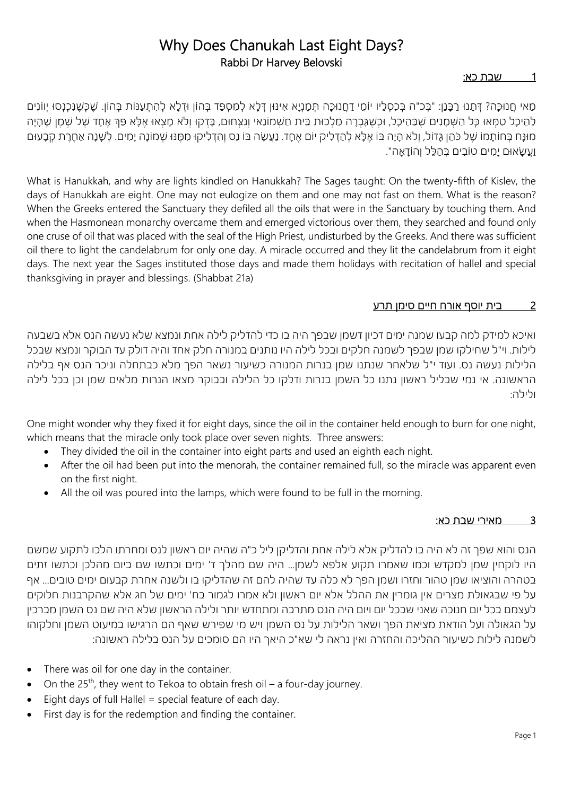## Why Does Chanukah Last Eight Days? Rabbi Dr Harvey Belovski

### 1 ש בת כא:

ְּמָאִי חֲנוּכָּה? דְּתָנוּ רַכָּנַן: "בָּכ"ה בִּכְסָלֵיו יוֹמָי דַחֲנוּכָה תִּמָנְיָא אִינּוּן דְּלָא לְמִסְפַּד בָּהוֹן וּדְלָא לְהִתְעַנּוֹת בָּהוֹן. שֵׁכָּשֵׁנְכָנְסוּ יְווֹנִים ַלְהֵיכָל טִמְּאוּ כָּל הַשָּׁמָנִים שֵׁבַּהֵיכָל, וּכָשֵׁגָּבָרָה מַלְכוּת בֵּית חַשָׁמוֹנַאי וְנִצְחוּם, בָּדְקוּ וְלֹא מָצְאוּ אֵלָּא פַּךְ אֶחָד שָׁל שַׁמַן שֶׁהָיָה ָמוּנָּח בִּחוֹתָמוֹ שֶׁל כֹּהֵן גָּדוֹל, וְלֹא הָיָה בּוֹ אֵלָּא לְהַדְלִיק יוֹם אֵחָד. נַעֲשָׂה בּוֹ נֵס וְהִדְלִיקוּ מִמְנּוּ שִׁמוֹנָה יָמִים. לְשָׁנָה אַחֵרֵת קִבָּעוּם ַוֲע ָשׂ ָ אוּם י ִמ ִ ים טוֹב ְ ים בּ ַה ֵלּ ְל ו ָהוֹד ָאה".

What is Hanukkah, and why are lights kindled on Hanukkah? The Sages taught: On the twenty-fifth of Kislev, the days of Hanukkah are eight. One may not eulogize on them and one may not fast on them. What is the reason? When the Greeks entered the Sanctuary they defiled all the oils that were in the Sanctuary by touching them. And when the Hasmonean monarchy overcame them and emerged victorious over them, they searched and found only one cruse of oil that was placed with the seal of the High Priest, undisturbed by the Greeks. And there was sufficient oil there to light the candelabrum for only one day. A miracle occurred and they lit the candelabrum from it eight days. The next year the Sages instituted those days and made them holidays with recitation of hallel and special thanksgiving in prayer and blessings. (Shabbat 21a)

### 2 בית יוסף אורח חיים סימן תרע

ואיכא למידק למה קבעו שמנה ימים דכיון דשמן שבפך היה בו כדי להדליק לילה אחת ונמצא שלא נעשה הנס אלא בשבעה לילות. וי"ל שחילקו שמן שבפך לשמנה חלקים ובכל לילה היו נותנים במנורה חלק אחד והיה דולק עד הבוקר ונמצא שבכל הלילות נעשה נס. ועוד י"ל שלאחר שנתנו שמן בנרות המנורה כשיעור נשאר הפך מלא כבתחלה וניכר הנס אף בלילה הראשונה. אי נמי שבליל ראשון נתנו כל השמן בנרות ודלקו כל הלילה ובבוקר מצאו הנרות מלאים שמן וכן בכל לילה ולילה:

One might wonder why they fixed it for eight days, since the oil in the container held enough to burn for one night, which means that the miracle only took place over seven nights. Three answers:

- They divided the oil in the container into eight parts and used an eighth each night.
- After the oil had been put into the menorah, the container remained full, so the miracle was apparent even on the first night.
- All the oil was poured into the lamps, which were found to be full in the morning.

### 3 מאירי שבת כא:

הנס והוא שפך זה לא היה בו להדליק אלא לילה אחת והדליקן ליל כ"ה שהיה יום ראשון לנס ומחרתו הלכו לתקוע שמשם היו לוקחין שמן למקדש וכמו שאמרו תקוע אלפא לשמן... היה שם מהלך ד' ימים וכתשו שם ביום מהלכן וכתשו זתים בטהרה והוציאו שמן טהור וחזרו ושמן הפך לא כלה עד שהיה להם זה שהדליקו בו ולשנה אחרת קבעום ימים טובים... אף על פי שבגאולת מצרים אין גומרין את ההלל אלא יום ראשון ולא אמרו לגמור בח' ימים של חג אלא שהקרבנות חלוקים לעצמם בכל יום חנוכה שאני שבכל יום ויום היה הנס מתרבה ומתחדש יותר ולילה הראשון שלא היה שם נס השמן מברכין על הגאולה ועל הודאת מציאת הפך ושאר הלילות על נס השמן ויש מי שפירש שאף הם הרגישו במיעוט השמן וחלקוהו לשמנה לילות כשיעור ההליכה והחזרה ואין נראה לי שא"כ היאך היו הם סומכים על הנס בלילה ראשונה:

- There was oil for one day in the container.
- On the  $25<sup>th</sup>$ , they went to Tekoa to obtain fresh oil a four-day journey.
- Eight days of full Hallel = special feature of each day.
- First day is for the redemption and finding the container.